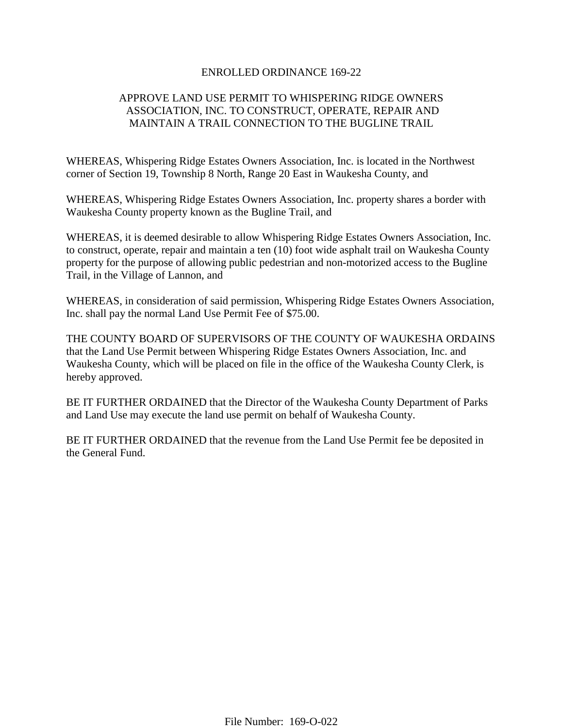## ENROLLED ORDINANCE 169-22

# APPROVE LAND USE PERMIT TO WHISPERING RIDGE OWNERS ASSOCIATION, INC. TO CONSTRUCT, OPERATE, REPAIR AND MAINTAIN A TRAIL CONNECTION TO THE BUGLINE TRAIL

WHEREAS, Whispering Ridge Estates Owners Association, Inc. is located in the Northwest corner of Section 19, Township 8 North, Range 20 East in Waukesha County, and

WHEREAS, Whispering Ridge Estates Owners Association, Inc. property shares a border with Waukesha County property known as the Bugline Trail, and

WHEREAS, it is deemed desirable to allow Whispering Ridge Estates Owners Association, Inc. to construct, operate, repair and maintain a ten (10) foot wide asphalt trail on Waukesha County property for the purpose of allowing public pedestrian and non-motorized access to the Bugline Trail, in the Village of Lannon, and

WHEREAS, in consideration of said permission, Whispering Ridge Estates Owners Association, Inc. shall pay the normal Land Use Permit Fee of \$75.00.

THE COUNTY BOARD OF SUPERVISORS OF THE COUNTY OF WAUKESHA ORDAINS that the Land Use Permit between Whispering Ridge Estates Owners Association, Inc. and Waukesha County, which will be placed on file in the office of the Waukesha County Clerk, is hereby approved.

BE IT FURTHER ORDAINED that the Director of the Waukesha County Department of Parks and Land Use may execute the land use permit on behalf of Waukesha County.

BE IT FURTHER ORDAINED that the revenue from the Land Use Permit fee be deposited in the General Fund.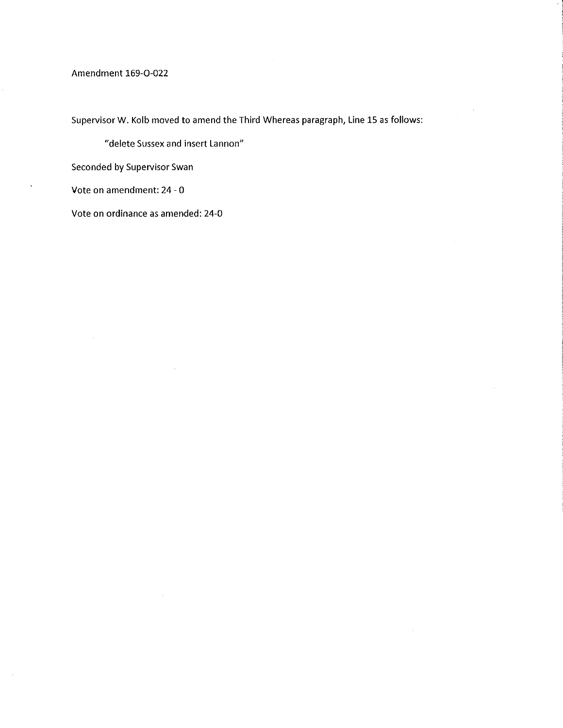## Amendment 169-O-022

Supervisor W. Kolb moved to amend the Third Whereas paragraph, Line 15 as follows:

"delete Sussex and insert Lannon"

 $\mathcal{L}$ 

 $\mathcal{A}$ 

 $\bar{z}$ 

Seconded by Supervisor Swan

Vote on amendment: 24 - 0

Vote on ordinance as amended: 24-0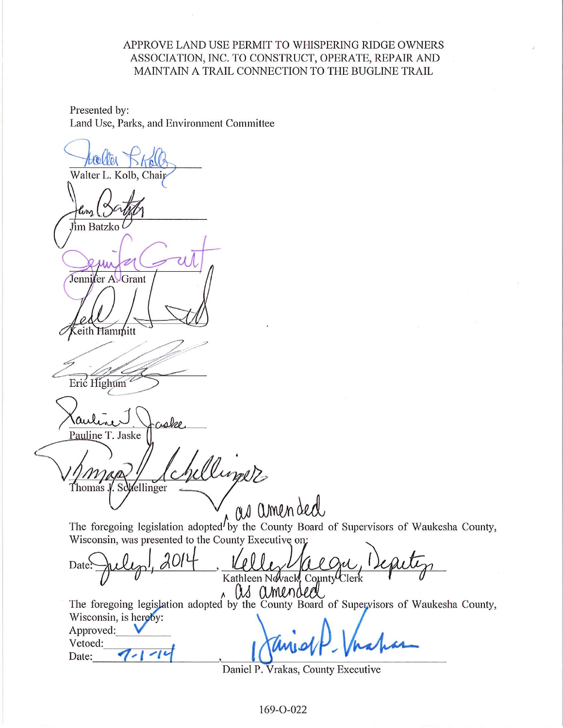# APPROVE LAND USE PERMIT TO WHISPERING RIDGE OWNERS ASSOCIATION, INC. TO CONSTRUCT, OPERATE, REPAIR AND MAINTAIN A TRAIL CONNECTION TO THE BUGLINE TRAIL

Presented by: Land Use, Parks, and Environment Committee

Walter L. Kolb, Chaij ľim Batzko Jennifer A. Grant eith Hammitt Eric Highum Pauline T. Jaske Aligate Schellinger Thomas The foregoing legislation adopted by the County Board of Supervisors of Waukesha County, Wisconsin, was presented to the County Executive on:

Date Kathleen Nevack, County Clerk as amended

The foregoing legislation adopted by the County Board of Supervisors of Waukesha County, Wisconsin, is hereby: Approved:

Vetoed:  $\sim$ 16 Date:

Daniel P. Vrakas, County Executive

169-O-022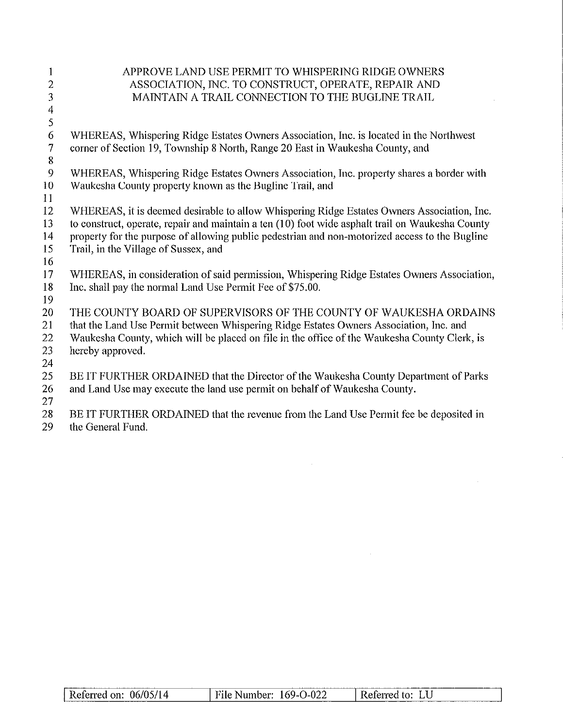| $\mathbf{1}$             | APPROVE LAND USE PERMIT TO WHISPERING RIDGE OWNERS                                               |
|--------------------------|--------------------------------------------------------------------------------------------------|
| $\overline{2}$           | ASSOCIATION, INC. TO CONSTRUCT, OPERATE, REPAIR AND                                              |
| 3                        | MAINTAIN A TRAIL CONNECTION TO THE BUGLINE TRAIL                                                 |
| $\overline{\mathcal{A}}$ |                                                                                                  |
| 5                        |                                                                                                  |
| 6                        | WHEREAS, Whispering Ridge Estates Owners Association, Inc. is located in the Northwest           |
| $\tau$                   | corner of Section 19, Township 8 North, Range 20 East in Waukesha County, and                    |
| $8\,$                    |                                                                                                  |
| 9                        | WHEREAS, Whispering Ridge Estates Owners Association, Inc. property shares a border with         |
| 10                       | Waukesha County property known as the Bugline Trail, and                                         |
| 11                       |                                                                                                  |
| 12                       | WHEREAS, it is deemed desirable to allow Whispering Ridge Estates Owners Association, Inc.       |
| 13                       | to construct, operate, repair and maintain a ten (10) foot wide asphalt trail on Waukesha County |
| 14                       | property for the purpose of allowing public pedestrian and non-motorized access to the Bugline   |
| 15                       | Trail, in the Village of Sussex, and                                                             |
| 16                       |                                                                                                  |
| 17                       | WHEREAS, in consideration of said permission, Whispering Ridge Estates Owners Association,       |
| 18                       | Inc. shall pay the normal Land Use Permit Fee of \$75.00.                                        |
| 19                       |                                                                                                  |
| 20                       | THE COUNTY BOARD OF SUPERVISORS OF THE COUNTY OF WAUKESHA ORDAINS                                |
| 21                       | that the Land Use Permit between Whispering Ridge Estates Owners Association, Inc. and           |
| 22                       | Waukesha County, which will be placed on file in the office of the Waukesha County Clerk, is     |
| 23                       | hereby approved.                                                                                 |
| 24                       |                                                                                                  |
| 25                       | BE IT FURTHER ORDAINED that the Director of the Waukesha County Department of Parks              |
| 26                       | and Land Use may execute the land use permit on behalf of Waukesha County.                       |
| 27                       |                                                                                                  |
| 28                       | BE IT FURTHER ORDAINED that the revenue from the Land Use Permit fee be deposited in             |
| 29                       | the General Fund.                                                                                |

| $-$<br>$\sim$ 4 $\sim$<br>---<br>. <i>. .</i><br>τч.<br>. | $\overline{\phantom{a}}$<br>no c<br>.<br>∾ਪ⊷<br>.<br>ັ້<br>v.<br>______ | <b>Select</b><br>⊷ |
|-----------------------------------------------------------|-------------------------------------------------------------------------|--------------------|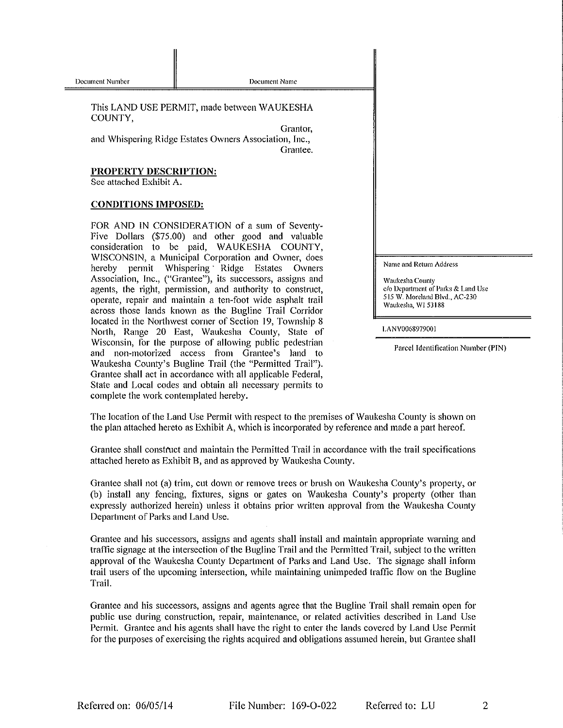Document Name

This LAND USE PERMIT, made between WAUKESHA COUNTY.

Grantor. and Whispering Ridge Estates Owners Association, Inc., Grantee.

#### PROPERTY DESCRIPTION:

See attached Exhibit A.

### **CONDITIONS IMPOSED:**

FOR AND IN CONSIDERATION of a sum of Seventy-Five Dollars (\$75.00) and other good and valuable consideration to be paid, WAUKESHA COUNTY, WISCONSIN, a Municipal Corporation and Owner, does hereby permit Whispering Ridge Estates Owners Association, Inc., ("Grantee"), its successors, assigns and agents, the right, permission, and authority to construct, operate, repair and maintain a ten-foot wide asphalt trail across those lands known as the Bugline Trail Corridor located in the Northwest corner of Section 19, Township 8 North, Range 20 East, Waukesha County, State of Wisconsin, for the purpose of allowing public pedestrian and non-motorized access from Grantee's land to Waukesha County's Bugline Trail (the "Permitted Trail"). Grantee shall act in accordance with all applicable Federal, State and Local codes and obtain all necessary permits to complete the work contemplated hereby.

Name and Return Address

Waukesha County c/o Department of Parks & Land Use 515 W. Moreland Blvd., AC-230 Waukesha, WI 53188

LANV0068979001

Parcel Identification Number (PIN)

 $\overline{2}$ 

The location of the Land Use Permit with respect to the premises of Waukesha County is shown on the plan attached hereto as Exhibit A, which is incorporated by reference and made a part hereof.

Grantee shall construct and maintain the Permitted Trail in accordance with the trail specifications attached hereto as Exhibit B, and as approved by Waukesha County.

Grantee shall not (a) trim, cut down or remove trees or brush on Waukesha County's property, or (b) install any fencing, fixtures, signs or gates on Waukesha County's property (other than expressly authorized herein) unless it obtains prior written approval from the Waukesha County Department of Parks and Land Use.

Grantee and his successors, assigns and agents shall install and maintain appropriate warning and traffic signage at the intersection of the Bugline Trail and the Permitted Trail, subject to the written approval of the Waukesha County Department of Parks and Land Use. The signage shall inform trail users of the upcoming intersection, while maintaining unimpeded traffic flow on the Bugline Trail.

Grantee and his successors, assigns and agents agree that the Bugline Trail shall remain open for public use during construction, repair, maintenance, or related activities described in Land Use Permit. Grantee and his agents shall have the right to enter the lands covered by Land Use Permit for the purposes of exercising the rights acquired and obligations assumed herein, but Grantee shall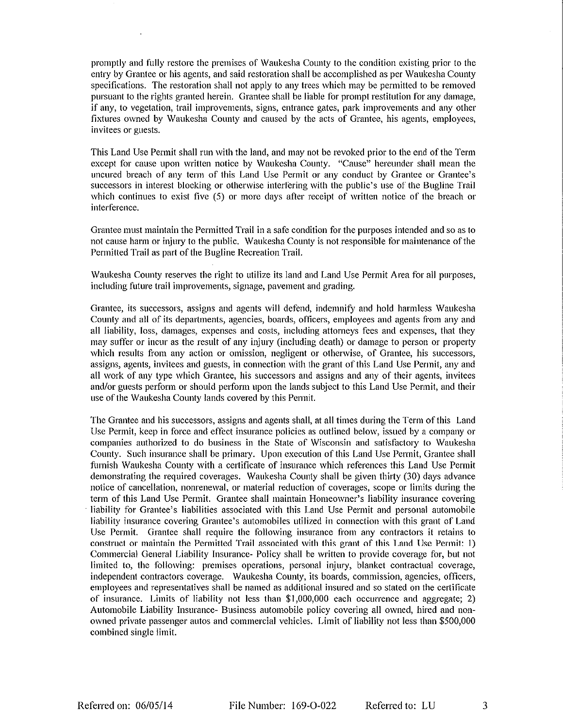promptly and fully restore the premises of Waukesha County to the condition existing prior to the entry by Grantee or his agents, and said restoration shall be accomplished as per Waukesha County specifications. The restoration shall not apply to any trees which may be permitted to be removed pursuant to the rights granted herein. Grantee shall be liable for prompt restitution for any damage, if any, to vegetation, trail improvements, signs, entrance gates, park improvements and any other fixtures owned by Waukesha County and caused by the acts of Grantee, his agents, employees, invitees or guests.

This Land Use Permit shall run with the land, and may not be revoked prior to the end of the Term except for cause upon written notice by Waukesha County. "Cause" hereunder shall mean the uncured breach of any term of this Land Use Permit or any conduct by Grantee or Grantee's successors in interest blocking or otherwise interfering with the public's use of the Bugline Trail which continues to exist five  $(5)$  or more days after receipt of written notice of the breach or interference.

Grantee must maintain the Permitted Trail in a safe condition for the purposes intended and so as to not cause harm or injury to the public. Waukesha County is not responsible for maintenance of the Permitted Trail as part of the Bugline Recreation Trail.

Waukesha County reserves the right to utilize its land and Land Use Permit Area for all purposes, including future trail improvements, signage, pavement and grading.

Grantee, its successors, assigns and agents will defend, indemnify and hold harmless Waukesha County and all of its departments, agencies, boards, officers, employees and agents from any and all liability, loss, damages, expenses and costs, including attorneys fees and expenses, that they may suffer or incur as the result of any injury (including death) or damage to person or property which results from any action or omission, negligent or otherwise, of Grantee, his successors, assigns, agents, invitees and guests, in connection with the grant of this Land Use Permit, any and all work of any type which Grantee, his successors and assigns and any of their agents, invitees and/or guests perform or should perform upon the lands subject to this Land Use Permit, and their use of the Waukesha County lands covered by this Permit.

The Grantee and his successors, assigns and agents shall, at all times during the Term of this Land Use Permit, keep in force and effect insurance policies as outlined below, issued by a company or companies authorized to do business in the State of Wisconsin and satisfactory to Waukesha County. Such insurance shall be primary. Upon execution of this Land Use Permit, Grantee shall furnish Waukesha County with a certificate of insurance which references this Land Use Permit demonstrating the required coverages. Waukesha County shall be given thirty (30) days advance notice of cancellation, nonrenewal, or material reduction of coverages, scope or limits during the term of this Land Use Permit. Grantee shall maintain Homeowner's liability insurance covering liability for Grantee's liabilities associated with this Land Use Permit and personal automobile liability insurance covering Grantee's automobiles utilized in connection with this grant of Land Use Permit. Grantee shall require the following insurance from any contractors it retains to construct or maintain the Permitted Trail associated with this grant of this Land Use Permit: 1) Commercial General Liability Insurance- Policy shall be written to provide coverage for, but not limited to, the following: premises operations, personal injury, blanket contractual coverage, independent contractors coverage. Waukesha County, its boards, commission, agencies, officers, employees and representatives shall be named as additional insured and so stated on the certificate of insurance. Limits of liability not less than \$1,000,000 each occurrence and aggregate; 2) Automobile Liability Insurance- Business automobile policy covering all owned, hired and nonowned private passenger autos and commercial vehicles. Limit of liability not less than \$500,000 combined single limit.

3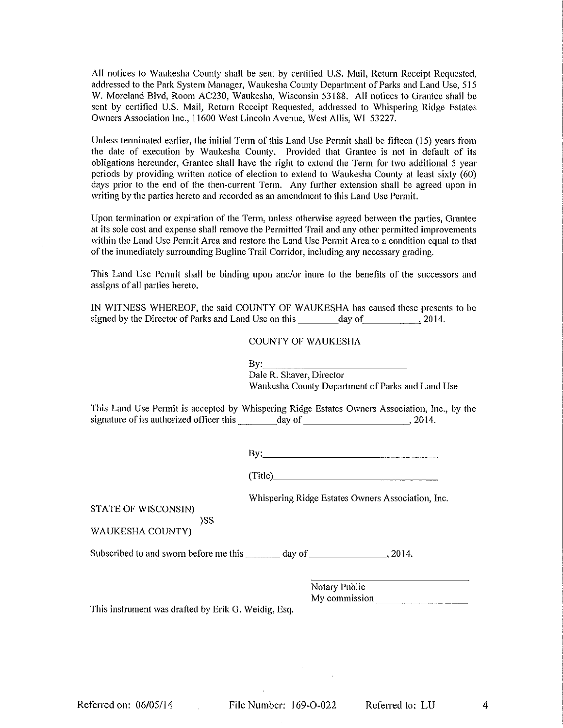All notices to Waukesha County shall be sent by certified U.S. Mail, Return Receipt Requested. addressed to the Park System Manager, Waukesha County Department of Parks and Land Use, 515 W. Moreland Blvd, Room AC230, Waukesha, Wisconsin 53188. All notices to Grantee shall be sent by certified U.S. Mail, Return Receipt Requested, addressed to Whispering Ridge Estates Owners Association Inc., 11600 West Lincoln Avenue, West Allis, WI 53227,

Unless terminated earlier, the initial Term of this Land Use Permit shall be fifteen (15) years from the date of execution by Waukesha County. Provided that Grantee is not in default of its obligations hereunder, Grantee shall have the right to extend the Term for two additional 5 year periods by providing written notice of election to extend to Waukesha County at least sixty (60) days prior to the end of the then-current Term. Any further extension shall be agreed upon in writing by the parties hereto and recorded as an amendment to this Land Use Permit.

Upon termination or expiration of the Term, unless otherwise agreed between the parties, Grantee at its sole cost and expense shall remove the Permitted Trail and any other permitted improvements within the Land Use Permit Area and restore the Land Use Permit Area to a condition equal to that of the immediately surrounding Bugline Trail Corridor, including any necessary grading.

This Land Use Permit shall be binding upon and/or inure to the benefits of the successors and assigns of all parties hereto.

IN WITNESS WHEREOF, the said COUNTY OF WAUKESHA has caused these presents to be 

#### **COUNTY OF WAUKESHA**

| By: |                                                  |  |
|-----|--------------------------------------------------|--|
|     | Dale R. Shaver, Director                         |  |
|     | Waukesha County Department of Parks and Land Use |  |

This Land Use Permit is accepted by Whispering Ridge Estates Owners Association, Inc., by the signature of its authorized officer this day of day of 3014.

 $\mathbf{By:}$ 

(Title)

Whispering Ridge Estates Owners Association, Inc.

**STATE OF WISCONSIN)** 

)SS **WAUKESHA COUNTY)** 

Subscribed to and sworn before me this \_\_\_\_\_\_\_ day of \_\_\_\_\_\_\_\_\_\_\_\_\_\_\_\_\_\_\_\_\_, 2014.

Notary Public My commission and the state of the state of the state of the state of the state of the state of the state of the state of the state of the state of the state of the state of the state of the state of the state of the state

This instrument was drafted by Erik G. Weidig, Esq.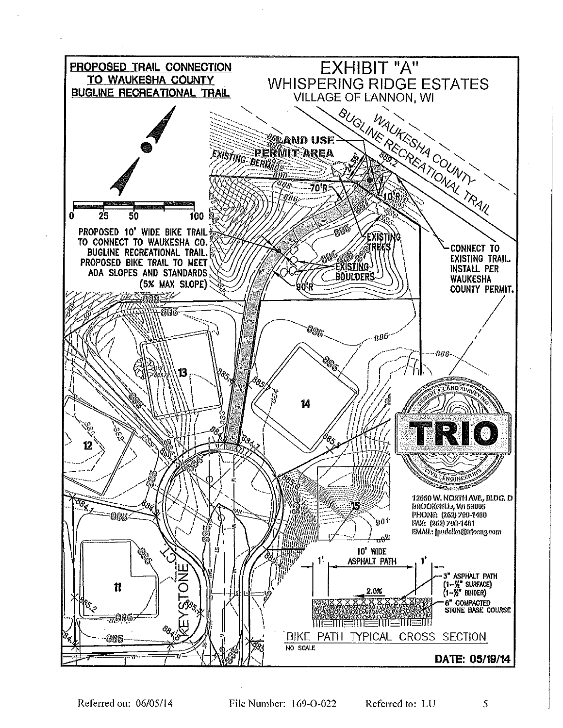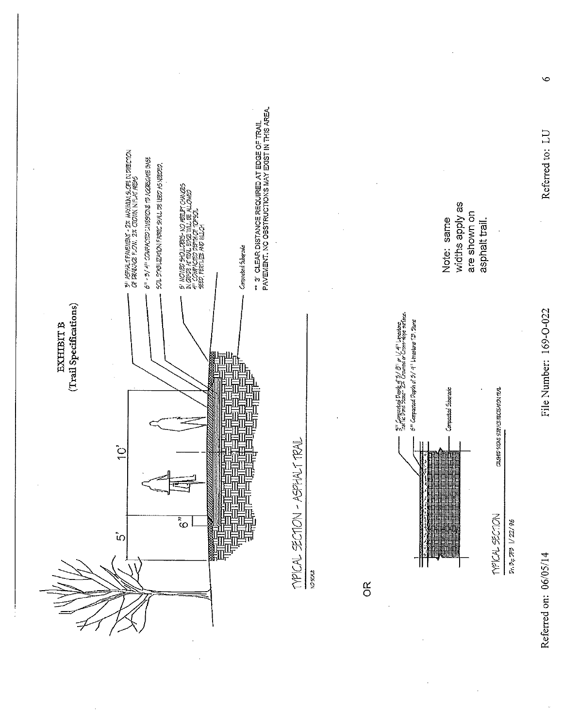

Referred on: 06/05/14

Referred to: LU

File Number: 169-O-022

 $\bullet$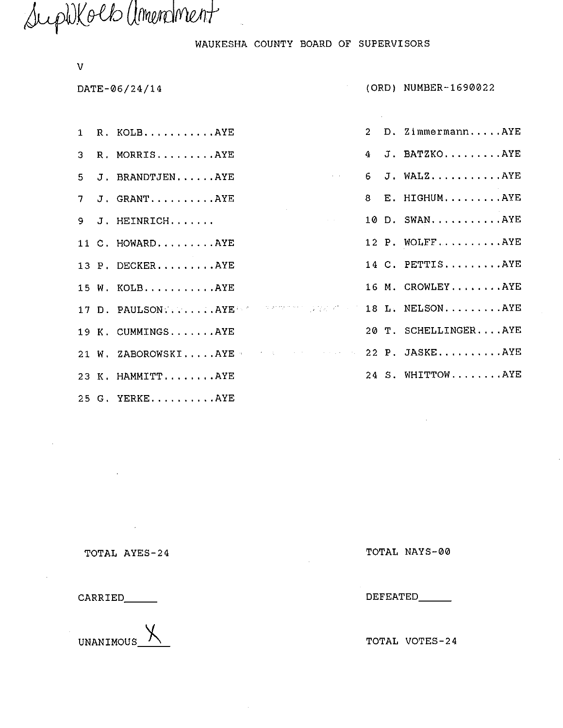SuphKolb amendment

WAUKESHA COUNTY BOARD OF SUPERVISORS

| v  |                                                  |  |                      |
|----|--------------------------------------------------|--|----------------------|
|    | DATE-06/24/14                                    |  | (ORD) NUMBER-1690022 |
|    |                                                  |  |                      |
|    | 1 R. KOLBAYE                                     |  | 2 D. ZimmermannAYE   |
| 3  | R. MORRISAYE                                     |  | 4 J. BATZKOAYE       |
| 5  | <b>Contractor</b><br>J. BRANDTJENAYE             |  | $6$ J. WALZAYE       |
| 7. | J. GRANTAYE                                      |  | 8 E. HIGHUMAYE       |
| 9. | J. HEINRICH                                      |  | 10 D. SWANAYE        |
|    | 11 C. HOWARDAYE                                  |  | 12 P. WOLFFAYE       |
|    | 13 P. DECKERAYE                                  |  | 14 C. PETTISAYE      |
|    | 15 W. KOLBAYE                                    |  | 16 M. CROWLEYAYE     |
|    | 17 D. PAULSONAYERRE TERRE IN THE 18 L. NELSONAYE |  |                      |
|    | 19 K. CUMMINGSAYE                                |  | 20 T. SCHELLINGERAYE |
|    | 21 W. ZABOROWSKIAYE 22 P. JASKEAYE               |  |                      |
|    | 23 K. HAMMITTAYE                                 |  | 24 S. WHITTOWAYE     |
|    |                                                  |  |                      |

25 G. YERKE..........AYE

TOTAL AYES-24

 $\mathcal{L}^{\mathcal{L}}(\mathcal{A})$  .

CARRIED\_\_\_\_\_

UNANIMOUS\_

TOTAL NAYS-00

DEFEATED\_\_\_\_\_\_

TOTAL VOTES-24